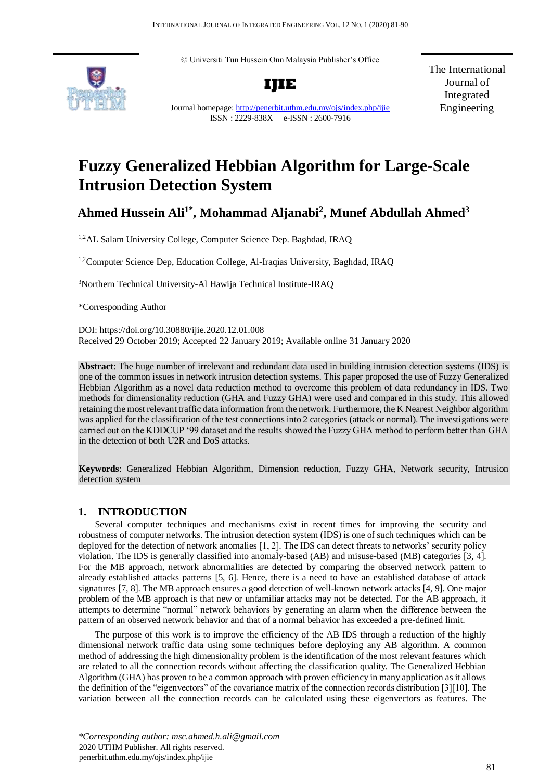© Universiti Tun Hussein Onn Malaysia Publisher's Office





The International Journal of Integrated Engineering

Journal homepage[: http://penerbit.uthm.edu.my/ojs/index.php/ijie](http://penerbit.uthm.edu.my/ojs/index.php/ijie) ISSN : 2229-838X e-ISSN : 2600-7916

# **Fuzzy Generalized Hebbian Algorithm for Large-Scale Intrusion Detection System**

## **Ahmed Hussein Ali1\*, Mohammad Aljanabi<sup>2</sup> , Munef Abdullah Ahmed<sup>3</sup>**

1,2AL Salam University College, Computer Science Dep. Baghdad, IRAQ

1,2Computer Science Dep, Education College, Al-Iraqias University, Baghdad, IRAQ

<sup>3</sup>Northern Technical University-Al Hawija Technical Institute-IRAQ

\*Corresponding Author

DOI: https://doi.org/10.30880/ijie.2020.12.01.008 Received 29 October 2019; Accepted 22 January 2019; Available online 31 January 2020

**Abstract**: The huge number of irrelevant and redundant data used in building intrusion detection systems (IDS) is one of the common issues in network intrusion detection systems. This paper proposed the use of Fuzzy Generalized Hebbian Algorithm as a novel data reduction method to overcome this problem of data redundancy in IDS. Two methods for dimensionality reduction (GHA and Fuzzy GHA) were used and compared in this study. This allowed retaining the most relevant traffic data information from the network. Furthermore, the K Nearest Neighbor algorithm was applied for the classification of the test connections into 2 categories (attack or normal). The investigations were carried out on the KDDCUP '99 dataset and the results showed the Fuzzy GHA method to perform better than GHA in the detection of both U2R and DoS attacks.

**Keywords**: Generalized Hebbian Algorithm, Dimension reduction, Fuzzy GHA, Network security, Intrusion detection system

## **1. INTRODUCTION**

Several computer techniques and mechanisms exist in recent times for improving the security and robustness of computer networks. The intrusion detection system (IDS) is one of such techniques which can be deployed for the detection of network anomalies [1, 2]. The IDS can detect threats to networks' security policy violation. The IDS is generally classified into anomaly-based (AB) and misuse-based (MB) categories [3, 4]. For the MB approach, network abnormalities are detected by comparing the observed network pattern to already established attacks patterns [5, 6]. Hence, there is a need to have an established database of attack signatures [7, 8]. The MB approach ensures a good detection of well-known network attacks [4, 9]. One major problem of the MB approach is that new or unfamiliar attacks may not be detected. For the AB approach, it attempts to determine "normal" network behaviors by generating an alarm when the difference between the pattern of an observed network behavior and that of a normal behavior has exceeded a pre-defined limit.

The purpose of this work is to improve the efficiency of the AB IDS through a reduction of the highly dimensional network traffic data using some techniques before deploying any AB algorithm. A common method of addressing the high dimensionality problem is the identification of the most relevant features which are related to all the connection records without affecting the classification quality. The Generalized Hebbian Algorithm (GHA) has proven to be a common approach with proven efficiency in many application as it allows the definition of the "eigenvectors" of the covariance matrix of the connection records distribution [3][10]. The variation between all the connection records can be calculated using these eigenvectors as features. The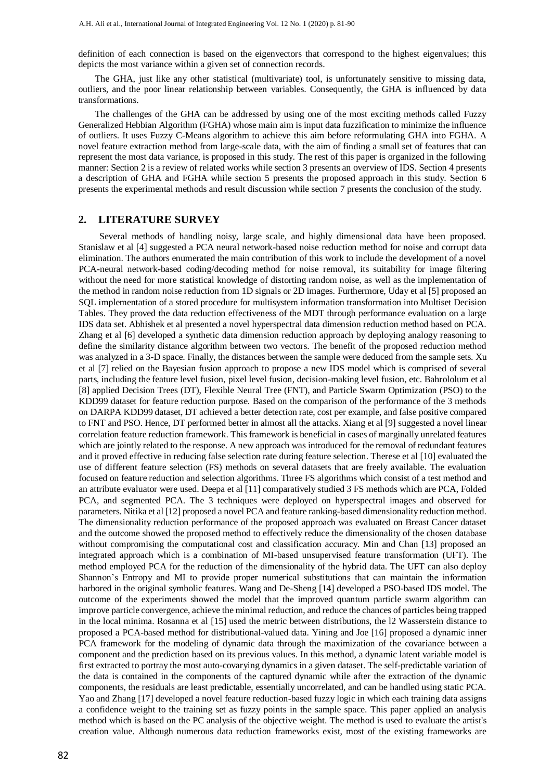definition of each connection is based on the eigenvectors that correspond to the highest eigenvalues; this depicts the most variance within a given set of connection records.

The GHA, just like any other statistical (multivariate) tool, is unfortunately sensitive to missing data, outliers, and the poor linear relationship between variables. Consequently, the GHA is influenced by data transformations.

The challenges of the GHA can be addressed by using one of the most exciting methods called Fuzzy Generalized Hebbian Algorithm (FGHA) whose main aim is input data fuzzification to minimize the influence of outliers. It uses Fuzzy C-Means algorithm to achieve this aim before reformulating GHA into FGHA. A novel feature extraction method from large-scale data, with the aim of finding a small set of features that can represent the most data variance, is proposed in this study. The rest of this paper is organized in the following manner: Section 2 is a review of related works while section 3 presents an overview of IDS. Section 4 presents a description of GHA and FGHA while section 5 presents the proposed approach in this study. Section 6 presents the experimental methods and result discussion while section 7 presents the conclusion of the study.

## **2. LITERATURE SURVEY**

Several methods of handling noisy, large scale, and highly dimensional data have been proposed. Stanislaw et al [4] suggested a PCA neural network-based noise reduction method for noise and corrupt data elimination. The authors enumerated the main contribution of this work to include the development of a novel PCA-neural network-based coding/decoding method for noise removal, its suitability for image filtering without the need for more statistical knowledge of distorting random noise, as well as the implementation of the method in random noise reduction from 1D signals or 2D images. Furthermore, Uday et al [5] proposed an SQL implementation of a stored procedure for multisystem information transformation into Multiset Decision Tables. They proved the data reduction effectiveness of the MDT through performance evaluation on a large IDS data set. Abhishek et al presented a novel hyperspectral data dimension reduction method based on PCA. Zhang et al [6] developed a synthetic data dimension reduction approach by deploying analogy reasoning to define the similarity distance algorithm between two vectors. The benefit of the proposed reduction method was analyzed in a 3-D space. Finally, the distances between the sample were deduced from the sample sets. Xu et al [7] relied on the Bayesian fusion approach to propose a new IDS model which is comprised of several parts, including the feature level fusion, pixel level fusion, decision-making level fusion, etc. Bahrololum et al [8] applied Decision Trees (DT), Flexible Neural Tree (FNT), and Particle Swarm Optimization (PSO) to the KDD99 dataset for feature reduction purpose. Based on the comparison of the performance of the 3 methods on DARPA KDD99 dataset, DT achieved a better detection rate, cost per example, and false positive compared to FNT and PSO. Hence, DT performed better in almost all the attacks. Xiang et al [9] suggested a novel linear correlation feature reduction framework. This framework is beneficial in cases of marginally unrelated features which are jointly related to the response. A new approach was introduced for the removal of redundant features and it proved effective in reducing false selection rate during feature selection. Therese et al [10] evaluated the use of different feature selection (FS) methods on several datasets that are freely available. The evaluation focused on feature reduction and selection algorithms. Three FS algorithms which consist of a test method and an attribute evaluator were used. Deepa et al [11] comparatively studied 3 FS methods which are PCA, Folded PCA, and segmented PCA. The 3 techniques were deployed on hyperspectral images and observed for parameters. Nitika et al [12] proposed a novel PCA and feature ranking-based dimensionality reduction method. The dimensionality reduction performance of the proposed approach was evaluated on Breast Cancer dataset and the outcome showed the proposed method to effectively reduce the dimensionality of the chosen database without compromising the computational cost and classification accuracy. Min and Chan [13] proposed an integrated approach which is a combination of MI-based unsupervised feature transformation (UFT). The method employed PCA for the reduction of the dimensionality of the hybrid data. The UFT can also deploy Shannon's Entropy and MI to provide proper numerical substitutions that can maintain the information harbored in the original symbolic features. Wang and De-Sheng [14] developed a PSO-based IDS model. The outcome of the experiments showed the model that the improved quantum particle swarm algorithm can improve particle convergence, achieve the minimal reduction, and reduce the chances of particles being trapped in the local minima. Rosanna et al [15] used the metric between distributions, the l2 Wasserstein distance to proposed a PCA-based method for distributional-valued data. Yining and Joe [16] proposed a dynamic inner PCA framework for the modeling of dynamic data through the maximization of the covariance between a component and the prediction based on its previous values. In this method, a dynamic latent variable model is first extracted to portray the most auto-covarying dynamics in a given dataset. The self-predictable variation of the data is contained in the components of the captured dynamic while after the extraction of the dynamic components, the residuals are least predictable, essentially uncorrelated, and can be handled using static PCA. Yao and Zhang [17] developed a novel feature reduction-based fuzzy logic in which each training data assigns a confidence weight to the training set as fuzzy points in the sample space. This paper applied an analysis method which is based on the PC analysis of the objective weight. The method is used to evaluate the artist's creation value. Although numerous data reduction frameworks exist, most of the existing frameworks are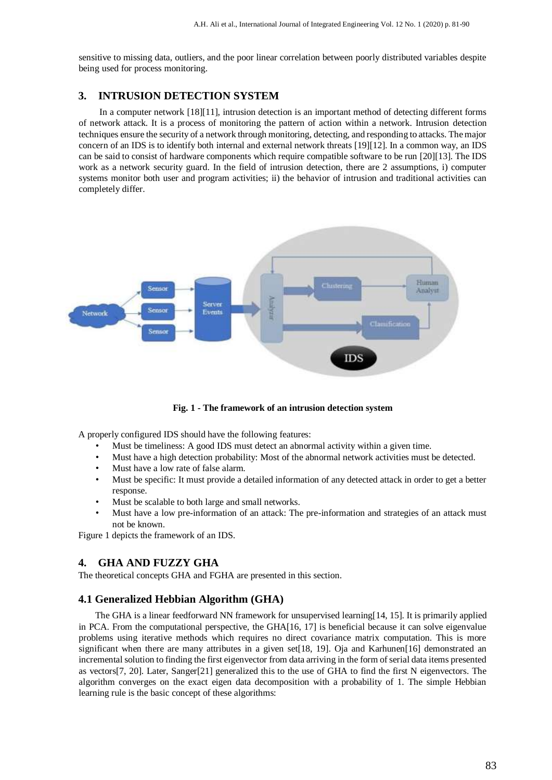sensitive to missing data, outliers, and the poor linear correlation between poorly distributed variables despite being used for process monitoring.

## **3. INTRUSION DETECTION SYSTEM**

In a computer network [18][11], intrusion detection is an important method of detecting different forms of network attack. It is a process of monitoring the pattern of action within a network. Intrusion detection techniques ensure the security of a network through monitoring, detecting, and responding to attacks. The major concern of an IDS is to identify both internal and external network threats [19][12]. In a common way, an IDS can be said to consist of hardware components which require compatible software to be run [20][13]. The IDS work as a network security guard. In the field of intrusion detection, there are 2 assumptions, i) computer systems monitor both user and program activities; ii) the behavior of intrusion and traditional activities can completely differ.



**Fig. 1 - The framework of an intrusion detection system** 

A properly configured IDS should have the following features:

- Must be timeliness: A good IDS must detect an abnormal activity within a given time.
- Must have a high detection probability: Most of the abnormal network activities must be detected.
- Must have a low rate of false alarm.
- Must be specific: It must provide a detailed information of any detected attack in order to get a better response.
- Must be scalable to both large and small networks.
- Must have a low pre-information of an attack: The pre-information and strategies of an attack must not be known.

Figure 1 depicts the framework of an IDS.

## **4. GHA AND FUZZY GHA**

The theoretical concepts GHA and FGHA are presented in this section.

## **4.1 Generalized Hebbian Algorithm (GHA)**

The GHA is a linear feedforward NN framework for unsupervised learning[14, 15]. It is primarily applied in PCA. From the computational perspective, the GHA[16, 17] is beneficial because it can solve eigenvalue problems using iterative methods which requires no direct covariance matrix computation. This is more significant when there are many attributes in a given set[18, 19]. Oja and Karhunen[16] demonstrated an incremental solution to finding the first eigenvector from data arriving in the form of serial data items presented as vectors[7, 20]. Later, Sanger[21] generalized this to the use of GHA to find the first N eigenvectors. The algorithm converges on the exact eigen data decomposition with a probability of 1. The simple Hebbian learning rule is the basic concept of these algorithms: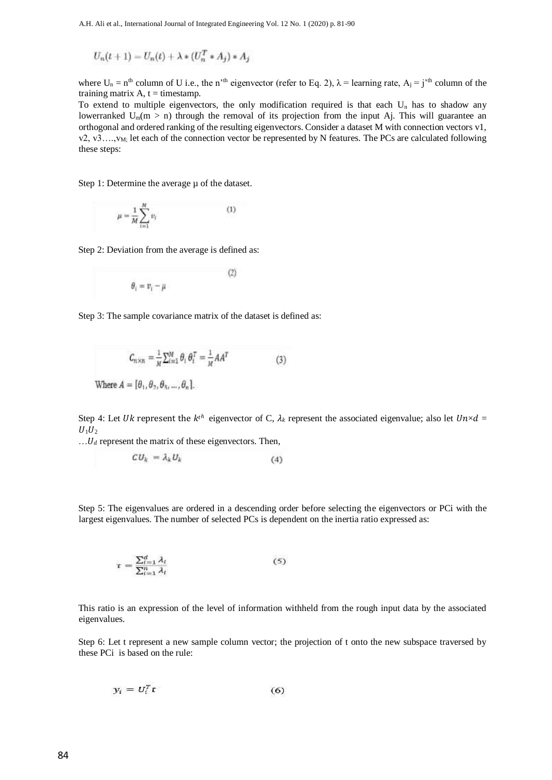$$
U_n(t+1) = U_n(t) + \lambda * (U_n^T * A_j) * A_j
$$

where  $U_n = n^{th}$  column of U i.e., the n'<sup>th</sup> eigenvector (refer to Eq. 2),  $\lambda$  = learning rate,  $A_i = j^{th}$  column of the training matrix  $A$ ,  $t =$  timestamp.

To extend to multiple eigenvectors, the only modification required is that each  $U_n$  has to shadow any lowerranked  $U_m(m > n)$  through the removal of its projection from the input Aj. This will guarantee an orthogonal and ordered ranking of the resulting eigenvectors. Consider a dataset M with connection vectors v1, v2, v3...,  $v_M$ ; let each of the connection vector be represented by N features. The PCs are calculated following these steps:

Step 1: Determine the average  $\mu$  of the dataset.

$$
\mu = \frac{1}{M} \sum_{i=1}^{M} v_i \tag{1}
$$

Step 2: Deviation from the average is defined as:

$$
\theta_i = v_i - \mu \eqno(2)
$$

Step 3: The sample covariance matrix of the dataset is defined as:

$$
C_{n \times n} = \frac{1}{M} \sum_{i=1}^{M} \theta_i \theta_i^T = \frac{1}{M} A A^T
$$
 (3)

Where  $A = [\theta_1, \theta_2, \theta_3, ..., \theta_n]$ .

Step 4: Let Uk represent the  $k^{th}$  eigenvector of C,  $\lambda_k$  represent the associated eigenvalue; also let  $Un \times d =$  $U_1U_2$ 

 $\ldots U_d$  represent the matrix of these eigenvectors. Then,

$$
CU_k = \lambda_k U_k \tag{4}
$$

Step 5: The eigenvalues are ordered in a descending order before selecting the eigenvectors or PCi with the largest eigenvalues. The number of selected PCs is dependent on the inertia ratio expressed as:

$$
\tau = \frac{\sum_{i=1}^{d} \lambda_i}{\sum_{i=1}^{n} \lambda_i} \tag{5}
$$

This ratio is an expression of the level of information withheld from the rough input data by the associated eigenvalues.

Step 6: Let t represent a new sample column vector; the projection of t onto the new subspace traversed by these PCi is based on the rule:

$$
y_i = U_i^T t \tag{6}
$$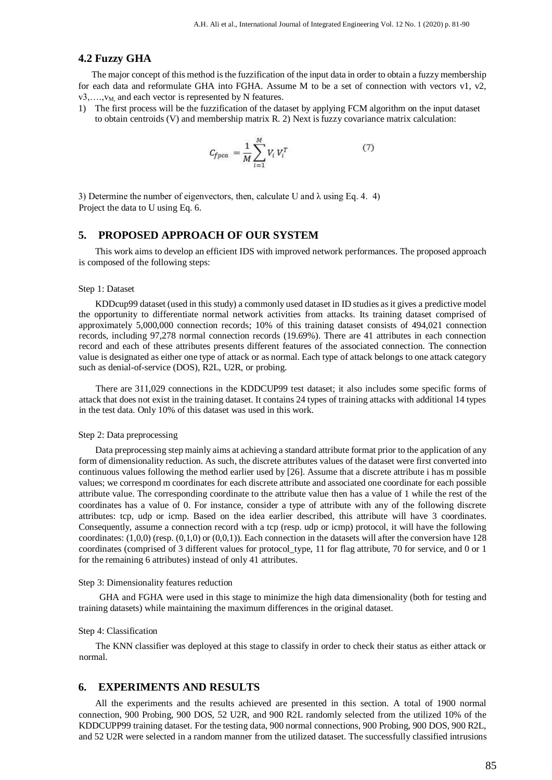## **4.2 Fuzzy GHA**

The major concept of this method is the fuzzification of the input data in order to obtain a fuzzy membership for each data and reformulate GHA into FGHA. Assume M to be a set of connection with vectors v1, v2,  $v_3, \ldots, v_M$  and each vector is represented by N features.

1) The first process will be the fuzzification of the dataset by applying FCM algorithm on the input dataset to obtain centroids (V) and membership matrix R. 2) Next is fuzzy covariance matrix calculation:

$$
C_{f p c a} = \frac{1}{M} \sum_{i=1}^{M} V_i V_i^T
$$
 (7)

3) Determine the number of eigenvectors, then, calculate U and  $\lambda$  using Eq. 4. 4) Project the data to U using Eq. 6.

## **5. PROPOSED APPROACH OF OUR SYSTEM**

This work aims to develop an efficient IDS with improved network performances. The proposed approach is composed of the following steps:

#### Step 1: Dataset

KDDcup99 dataset (used in this study) a commonly used dataset in ID studies as it gives a predictive model the opportunity to differentiate normal network activities from attacks. Its training dataset comprised of approximately 5,000,000 connection records; 10% of this training dataset consists of 494,021 connection records, including 97,278 normal connection records (19.69%). There are 41 attributes in each connection record and each of these attributes presents different features of the associated connection. The connection value is designated as either one type of attack or as normal. Each type of attack belongs to one attack category such as denial-of-service (DOS), R2L, U2R, or probing.

There are 311,029 connections in the KDDCUP99 test dataset; it also includes some specific forms of attack that does not exist in the training dataset. It contains 24 types of training attacks with additional 14 types in the test data. Only 10% of this dataset was used in this work.

#### Step 2: Data preprocessing

Data preprocessing step mainly aims at achieving a standard attribute format prior to the application of any form of dimensionality reduction. As such, the discrete attributes values of the dataset were first converted into continuous values following the method earlier used by [26]. Assume that a discrete attribute i has m possible values; we correspond m coordinates for each discrete attribute and associated one coordinate for each possible attribute value. The corresponding coordinate to the attribute value then has a value of 1 while the rest of the coordinates has a value of 0. For instance, consider a type of attribute with any of the following discrete attributes: tcp, udp or icmp. Based on the idea earlier described, this attribute will have 3 coordinates. Consequently, assume a connection record with a tcp (resp. udp or icmp) protocol, it will have the following coordinates:  $(1,0,0)$  (resp.  $(0,1,0)$  or  $(0,0,1)$ ). Each connection in the datasets will after the conversion have 128 coordinates (comprised of 3 different values for protocol\_type, 11 for flag attribute, 70 for service, and 0 or 1 for the remaining 6 attributes) instead of only 41 attributes.

#### Step 3: Dimensionality features reduction

GHA and FGHA were used in this stage to minimize the high data dimensionality (both for testing and training datasets) while maintaining the maximum differences in the original dataset.

#### Step 4: Classification

The KNN classifier was deployed at this stage to classify in order to check their status as either attack or normal.

## **6. EXPERIMENTS AND RESULTS**

All the experiments and the results achieved are presented in this section. A total of 1900 normal connection, 900 Probing, 900 DOS, 52 U2R, and 900 R2L randomly selected from the utilized 10% of the KDDCUPP99 training dataset. For the testing data, 900 normal connections, 900 Probing, 900 DOS, 900 R2L, and 52 U2R were selected in a random manner from the utilized dataset. The successfully classified intrusions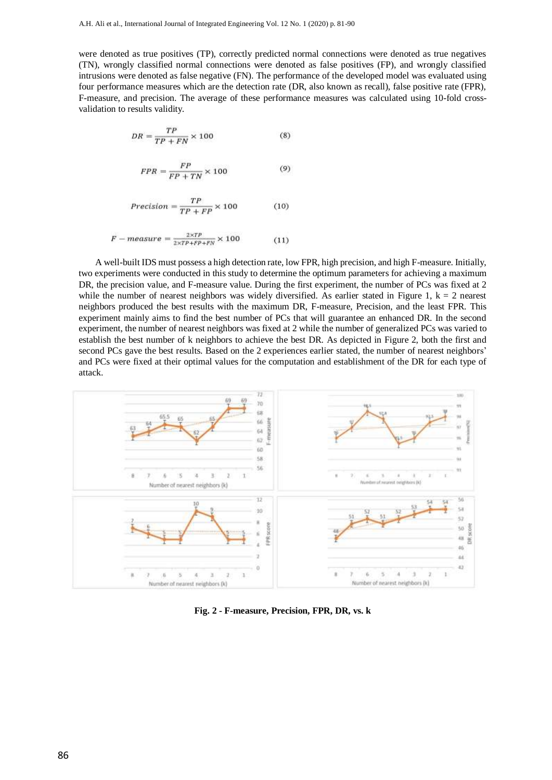were denoted as true positives (TP), correctly predicted normal connections were denoted as true negatives (TN), wrongly classified normal connections were denoted as false positives (FP), and wrongly classified intrusions were denoted as false negative (FN). The performance of the developed model was evaluated using four performance measures which are the detection rate (DR, also known as recall), false positive rate (FPR), F-measure, and precision. The average of these performance measures was calculated using 10-fold crossvalidation to results validity.

$$
DR = \frac{TP}{TP + FN} \times 100\tag{8}
$$

$$
FPR = \frac{FP}{FP + TN} \times 100\tag{9}
$$

$$
Precision = \frac{TP}{TP + FP} \times 100\tag{10}
$$

$$
F-measure = \frac{2 \times TP}{2 \times TP + FP + FN} \times 100 \tag{11}
$$

A well-built IDS must possess a high detection rate, low FPR, high precision, and high F-measure. Initially, two experiments were conducted in this study to determine the optimum parameters for achieving a maximum DR, the precision value, and F-measure value. During the first experiment, the number of PCs was fixed at 2 while the number of nearest neighbors was widely diversified. As earlier stated in Figure 1,  $k = 2$  nearest neighbors produced the best results with the maximum DR, F-measure, Precision, and the least FPR. This experiment mainly aims to find the best number of PCs that will guarantee an enhanced DR. In the second experiment, the number of nearest neighbors was fixed at 2 while the number of generalized PCs was varied to establish the best number of k neighbors to achieve the best DR. As depicted in Figure 2, both the first and second PCs gave the best results. Based on the 2 experiences earlier stated, the number of nearest neighbors' and PCs were fixed at their optimal values for the computation and establishment of the DR for each type of attack.



**Fig. 2 - F-measure, Precision, FPR, DR, vs. k**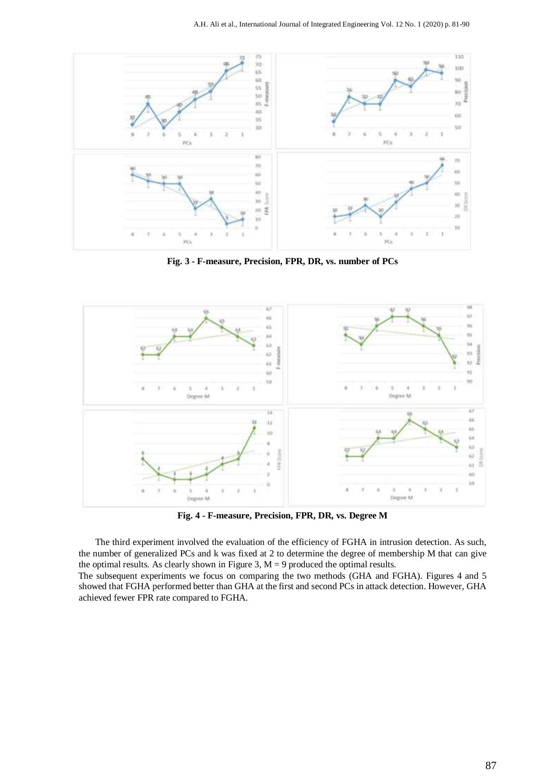

**Fig. 3 - F-measure, Precision, FPR, DR, vs. number of PCs** 



**Fig. 4 - F-measure, Precision, FPR, DR, vs. Degree M** 

The third experiment involved the evaluation of the efficiency of FGHA in intrusion detection. As such, the number of generalized PCs and k was fixed at 2 to determine the degree of membership M that can give the optimal results. As clearly shown in Figure 3,  $M = 9$  produced the optimal results.

The subsequent experiments we focus on comparing the two methods (GHA and FGHA). Figures 4 and 5 showed that FGHA performed better than GHA at the first and second PCs in attack detection. However, GHA achieved fewer FPR rate compared to FGHA.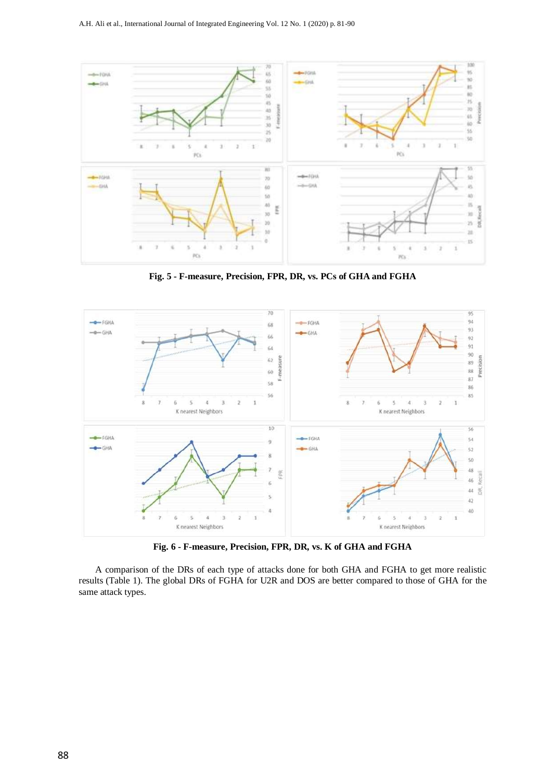

**Fig. 5 - F-measure, Precision, FPR, DR, vs. PCs of GHA and FGHA** 



**Fig. 6 - F-measure, Precision, FPR, DR, vs. K of GHA and FGHA** 

A comparison of the DRs of each type of attacks done for both GHA and FGHA to get more realistic results (Table 1). The global DRs of FGHA for U2R and DOS are better compared to those of GHA for the same attack types.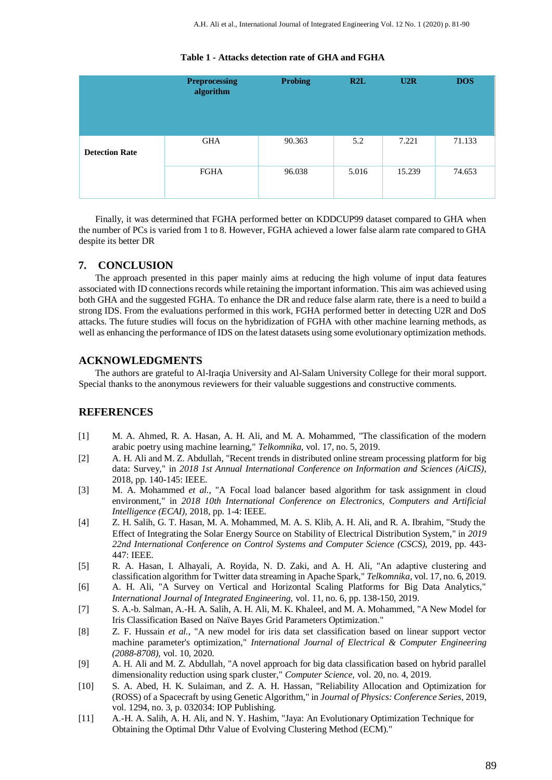|                       | <b>Preprocessing</b><br>algorithm | <b>Probing</b> | R2L   | U2R    | <b>DOS</b> |
|-----------------------|-----------------------------------|----------------|-------|--------|------------|
| <b>Detection Rate</b> | <b>GHA</b>                        | 90.363         | 5.2   | 7.221  | 71.133     |
|                       | <b>FGHA</b>                       | 96.038         | 5.016 | 15.239 | 74.653     |

#### **Table 1 - Attacks detection rate of GHA and FGHA**

Finally, it was determined that FGHA performed better on KDDCUP99 dataset compared to GHA when the number of PCs is varied from 1 to 8. However, FGHA achieved a lower false alarm rate compared to GHA despite its better DR

## **7. CONCLUSION**

The approach presented in this paper mainly aims at reducing the high volume of input data features associated with ID connections records while retaining the important information. This aim was achieved using both GHA and the suggested FGHA. To enhance the DR and reduce false alarm rate, there is a need to build a strong IDS. From the evaluations performed in this work, FGHA performed better in detecting U2R and DoS attacks. The future studies will focus on the hybridization of FGHA with other machine learning methods, as well as enhancing the performance of IDS on the latest datasets using some evolutionary optimization methods.

## **ACKNOWLEDGMENTS**

The authors are grateful to Al-Iraqia University and Al-Salam University College for their moral support. Special thanks to the anonymous reviewers for their valuable suggestions and constructive comments.

## **REFERENCES**

- [1] M. A. Ahmed, R. A. Hasan, A. H. Ali, and M. A. Mohammed, "The classification of the modern arabic poetry using machine learning," *Telkomnika,* vol. 17, no. 5, 2019.
- [2] A. H. Ali and M. Z. Abdullah, "Recent trends in distributed online stream processing platform for big data: Survey," in *2018 1st Annual International Conference on Information and Sciences (AiCIS)*, 2018, pp. 140-145: IEEE.
- [3] M. A. Mohammed *et al.*, "A Focal load balancer based algorithm for task assignment in cloud environment," in *2018 10th International Conference on Electronics, Computers and Artificial Intelligence (ECAI)*, 2018, pp. 1-4: IEEE.
- [4] Z. H. Salih, G. T. Hasan, M. A. Mohammed, M. A. S. Klib, A. H. Ali, and R. A. Ibrahim, "Study the Effect of Integrating the Solar Energy Source on Stability of Electrical Distribution System," in *2019 22nd International Conference on Control Systems and Computer Science (CSCS)*, 2019, pp. 443- 447: IEEE.
- [5] R. A. Hasan, I. Alhayali, A. Royida, N. D. Zaki, and A. H. Ali, "An adaptive clustering and classification algorithm for Twitter data streaming in Apache Spark," *Telkomnika,* vol. 17, no. 6, 2019.
- [6] A. H. Ali, "A Survey on Vertical and Horizontal Scaling Platforms for Big Data Analytics," *International Journal of Integrated Engineering,* vol. 11, no. 6, pp. 138-150, 2019.
- [7] S. A.-b. Salman, A.-H. A. Salih, A. H. Ali, M. K. Khaleel, and M. A. Mohammed, "A New Model for Iris Classification Based on Naïve Bayes Grid Parameters Optimization."
- [8] Z. F. Hussain *et al.*, "A new model for iris data set classification based on linear support vector machine parameter's optimization," *International Journal of Electrical & Computer Engineering (2088-8708),* vol. 10, 2020.
- [9] A. H. Ali and M. Z. Abdullah, "A novel approach for big data classification based on hybrid parallel dimensionality reduction using spark cluster," *Computer Science,* vol. 20, no. 4, 2019.
- [10] S. A. Abed, H. K. Sulaiman, and Z. A. H. Hassan, "Reliability Allocation and Optimization for (ROSS) of a Spacecraft by using Genetic Algorithm," in *Journal of Physics: Conference Series*, 2019, vol. 1294, no. 3, p. 032034: IOP Publishing.
- [11] A.-H. A. Salih, A. H. Ali, and N. Y. Hashim, "Jaya: An Evolutionary Optimization Technique for Obtaining the Optimal Dthr Value of Evolving Clustering Method (ECM)."